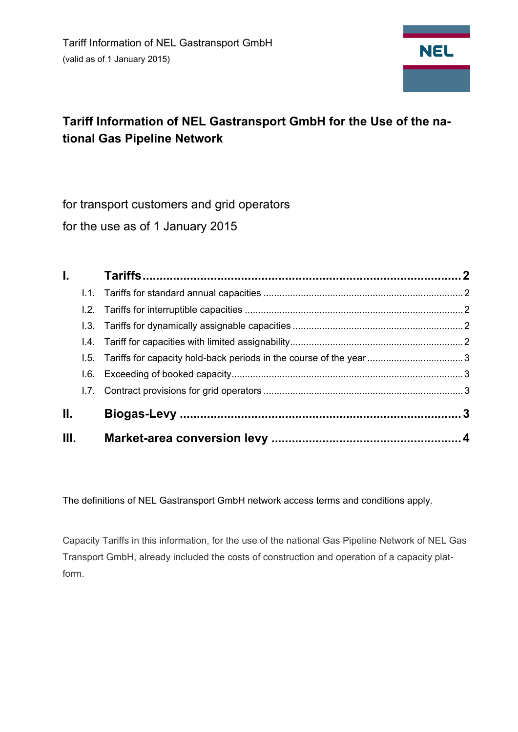

# **Tariff Information of NEL Gastransport GmbH for the Use of the national Gas Pipeline Network**

for transport customers and grid operators for the use as of 1 January 2015

|     | <b>I</b> . |  |
|-----|------------|--|
|     |            |  |
|     |            |  |
|     |            |  |
|     |            |  |
|     |            |  |
|     |            |  |
|     |            |  |
| II. |            |  |
| Ш.  |            |  |

The definitions of NEL Gastransport GmbH network access terms and conditions apply.

Capacity Tariffs in this information, for the use of the national Gas Pipeline Network of NEL Gas Transport GmbH, already included the costs of construction and operation of a capacity platform.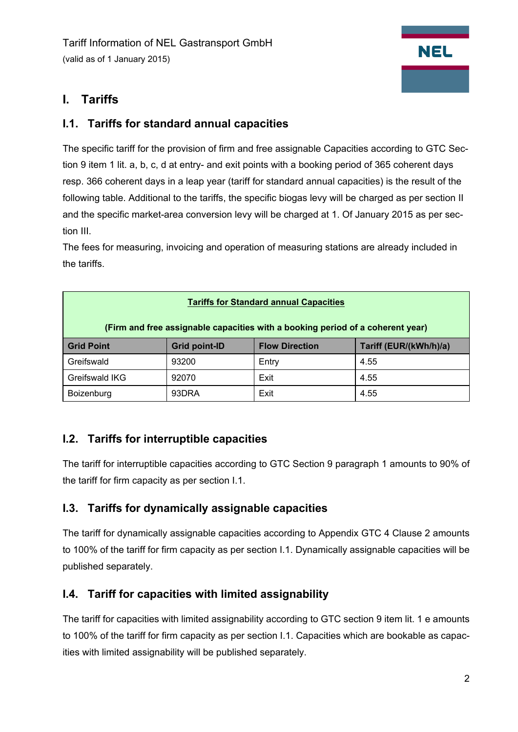# **I. Tariffs**

## **I.1. Tariffs for standard annual capacities**

The specific tariff for the provision of firm and free assignable Capacities according to GTC Section 9 item 1 lit. a, b, c, d at entry- and exit points with a booking period of 365 coherent days resp. 366 coherent days in a leap year (tariff for standard annual capacities) is the result of the following table. Additional to the tariffs, the specific biogas levy will be charged as per section II and the specific market-area conversion levy will be charged at 1. Of January 2015 as per section III.

The fees for measuring, invoicing and operation of measuring stations are already included in the tariffs.

| <b>Tariffs for Standard annual Capacities</b>                                  |                      |                       |                        |  |  |  |
|--------------------------------------------------------------------------------|----------------------|-----------------------|------------------------|--|--|--|
| (Firm and free assignable capacities with a booking period of a coherent year) |                      |                       |                        |  |  |  |
| <b>Grid Point</b>                                                              | <b>Grid point-ID</b> | <b>Flow Direction</b> | Tariff (EUR/(kWh/h)/a) |  |  |  |
| Greifswald                                                                     | 93200                | Entry                 | 4.55                   |  |  |  |
| Greifswald IKG                                                                 | 92070                | Exit                  | 4.55                   |  |  |  |
| Boizenburg                                                                     | 93DRA                | Exit                  | 4.55                   |  |  |  |

## **I.2. Tariffs for interruptible capacities**

The tariff for interruptible capacities according to GTC Section 9 paragraph 1 amounts to 90% of the tariff for firm capacity as per section I.1.

## **I.3. Tariffs for dynamically assignable capacities**

The tariff for dynamically assignable capacities according to Appendix GTC 4 Clause 2 amounts to 100% of the tariff for firm capacity as per section I.1. Dynamically assignable capacities will be published separately.

## **I.4. Tariff for capacities with limited assignability**

The tariff for capacities with limited assignability according to GTC section 9 item lit. 1 e amounts to 100% of the tariff for firm capacity as per section I.1. Capacities which are bookable as capacities with limited assignability will be published separately.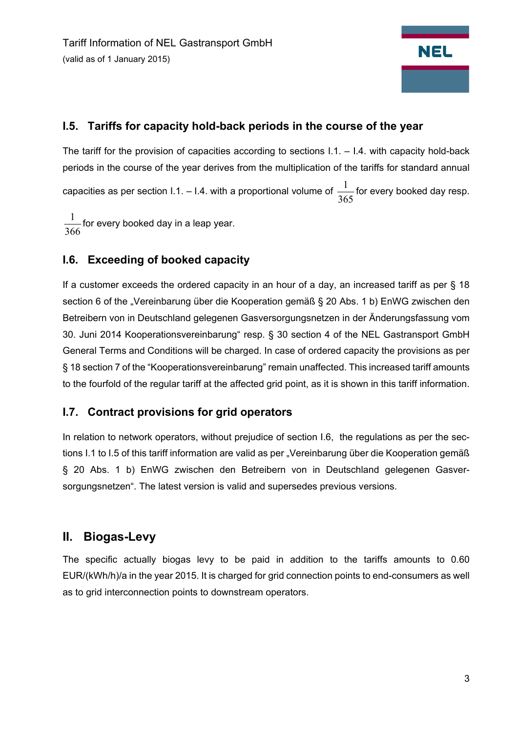# **NEL**

## **I.5. Tariffs for capacity hold-back periods in the course of the year**

The tariff for the provision of capacities according to sections  $1.1 - 1.4$ . with capacity hold-back periods in the course of the year derives from the multiplication of the tariffs for standard annual capacities as per section I.1. – I.4. with a proportional volume of 365  $\frac{1}{\sqrt{2}}$  for every booked day resp.

366  $\frac{1}{\sqrt{2}}$  for every booked day in a leap year.

## **I.6. Exceeding of booked capacity**

If a customer exceeds the ordered capacity in an hour of a day, an increased tariff as per § 18 section 6 of the "Vereinbarung über die Kooperation gemäß § 20 Abs. 1 b) EnWG zwischen den Betreibern von in Deutschland gelegenen Gasversorgungsnetzen in der Änderungsfassung vom 30. Juni 2014 Kooperationsvereinbarung" resp. § 30 section 4 of the NEL Gastransport GmbH General Terms and Conditions will be charged. In case of ordered capacity the provisions as per § 18 section 7 of the "Kooperationsvereinbarung" remain unaffected. This increased tariff amounts to the fourfold of the regular tariff at the affected grid point, as it is shown in this tariff information.

## **I.7. Contract provisions for grid operators**

In relation to network operators, without prejudice of section I.6, the regulations as per the sections I.1 to I.5 of this tariff information are valid as per "Vereinbarung über die Kooperation gemäß § 20 Abs. 1 b) EnWG zwischen den Betreibern von in Deutschland gelegenen Gasversorgungsnetzen". The latest version is valid and supersedes previous versions.

# **II. Biogas-Levy**

The specific actually biogas levy to be paid in addition to the tariffs amounts to 0.60 EUR/(kWh/h)/a in the year 2015. It is charged for grid connection points to end-consumers as well as to grid interconnection points to downstream operators.